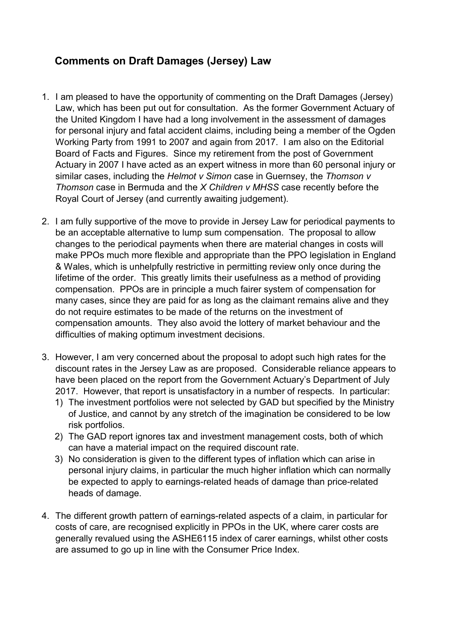## Comments on Draft Damages (Jersey) Law

- 1. I am pleased to have the opportunity of commenting on the Draft Damages (Jersey) Law, which has been put out for consultation. As the former Government Actuary of the United Kingdom I have had a long involvement in the assessment of damages for personal injury and fatal accident claims, including being a member of the Ogden Working Party from 1991 to 2007 and again from 2017. I am also on the Editorial Board of Facts and Figures. Since my retirement from the post of Government Actuary in 2007 I have acted as an expert witness in more than 60 personal injury or similar cases, including the Helmot v Simon case in Guernsey, the Thomson v Thomson case in Bermuda and the X Children v MHSS case recently before the Royal Court of Jersey (and currently awaiting judgement).
- 2. I am fully supportive of the move to provide in Jersey Law for periodical payments to be an acceptable alternative to lump sum compensation. The proposal to allow changes to the periodical payments when there are material changes in costs will make PPOs much more flexible and appropriate than the PPO legislation in England & Wales, which is unhelpfully restrictive in permitting review only once during the lifetime of the order. This greatly limits their usefulness as a method of providing compensation. PPOs are in principle a much fairer system of compensation for many cases, since they are paid for as long as the claimant remains alive and they do not require estimates to be made of the returns on the investment of compensation amounts. They also avoid the lottery of market behaviour and the difficulties of making optimum investment decisions.
- 3. However, I am very concerned about the proposal to adopt such high rates for the discount rates in the Jersey Law as are proposed. Considerable reliance appears to have been placed on the report from the Government Actuary's Department of July 2017. However, that report is unsatisfactory in a number of respects. In particular:
	- 1) The investment portfolios were not selected by GAD but specified by the Ministry of Justice, and cannot by any stretch of the imagination be considered to be low risk portfolios.
	- 2) The GAD report ignores tax and investment management costs, both of which can have a material impact on the required discount rate.
	- 3) No consideration is given to the different types of inflation which can arise in personal injury claims, in particular the much higher inflation which can normally be expected to apply to earnings-related heads of damage than price-related heads of damage.
- 4. The different growth pattern of earnings-related aspects of a claim, in particular for costs of care, are recognised explicitly in PPOs in the UK, where carer costs are generally revalued using the ASHE6115 index of carer earnings, whilst other costs are assumed to go up in line with the Consumer Price Index.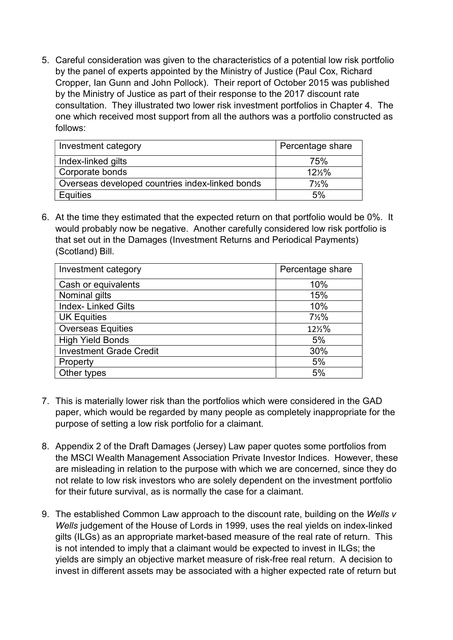5. Careful consideration was given to the characteristics of a potential low risk portfolio by the panel of experts appointed by the Ministry of Justice (Paul Cox, Richard Cropper, Ian Gunn and John Pollock). Their report of October 2015 was published by the Ministry of Justice as part of their response to the 2017 discount rate consultation. They illustrated two lower risk investment portfolios in Chapter 4. The one which received most support from all the authors was a portfolio constructed as follows:

| Investment category                             | Percentage share |
|-------------------------------------------------|------------------|
| Index-linked gilts                              | 75%              |
| Corporate bonds                                 | 12%%             |
| Overseas developed countries index-linked bonds | $7\frac{1}{2}\%$ |
| <b>Equities</b>                                 | 5%               |

6. At the time they estimated that the expected return on that portfolio would be 0%. It would probably now be negative. Another carefully considered low risk portfolio is that set out in the Damages (Investment Returns and Periodical Payments) (Scotland) Bill.

| Investment category            | Percentage share |
|--------------------------------|------------------|
| Cash or equivalents            | 10%              |
| Nominal gilts                  | 15%              |
| <b>Index-Linked Gilts</b>      | 10%              |
| <b>UK Equities</b>             | $7\frac{1}{2}\%$ |
| <b>Overseas Equities</b>       | 121/2%           |
| <b>High Yield Bonds</b>        | 5%               |
| <b>Investment Grade Credit</b> | 30%              |
| Property                       | 5%               |
| Other types                    | 5%               |

- 7. This is materially lower risk than the portfolios which were considered in the GAD paper, which would be regarded by many people as completely inappropriate for the purpose of setting a low risk portfolio for a claimant.
- 8. Appendix 2 of the Draft Damages (Jersey) Law paper quotes some portfolios from the MSCI Wealth Management Association Private Investor Indices. However, these are misleading in relation to the purpose with which we are concerned, since they do not relate to low risk investors who are solely dependent on the investment portfolio for their future survival, as is normally the case for a claimant.
- 9. The established Common Law approach to the discount rate, building on the Wells v Wells judgement of the House of Lords in 1999, uses the real yields on index-linked gilts (ILGs) as an appropriate market-based measure of the real rate of return. This is not intended to imply that a claimant would be expected to invest in ILGs; the yields are simply an objective market measure of risk-free real return. A decision to invest in different assets may be associated with a higher expected rate of return but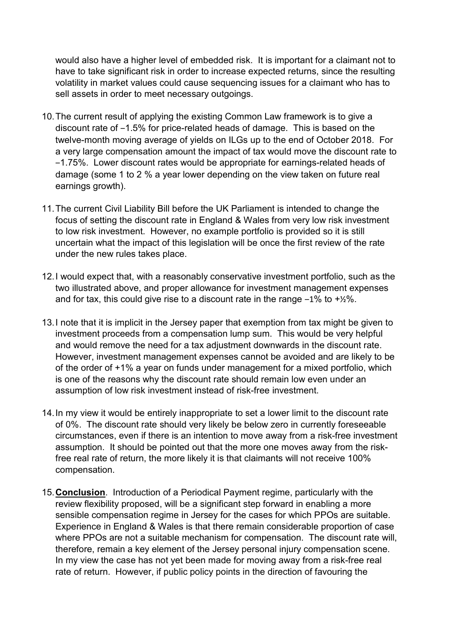would also have a higher level of embedded risk. It is important for a claimant not to have to take significant risk in order to increase expected returns, since the resulting volatility in market values could cause sequencing issues for a claimant who has to sell assets in order to meet necessary outgoings.

- 10. The current result of applying the existing Common Law framework is to give a discount rate of  $-1.5\%$  for price-related heads of damage. This is based on the twelve-month moving average of yields on ILGs up to the end of October 2018. For a very large compensation amount the impact of tax would move the discount rate to ‒1.75%. Lower discount rates would be appropriate for earnings-related heads of damage (some 1 to 2 % a year lower depending on the view taken on future real earnings growth).
- 11. The current Civil Liability Bill before the UK Parliament is intended to change the focus of setting the discount rate in England & Wales from very low risk investment to low risk investment. However, no example portfolio is provided so it is still uncertain what the impact of this legislation will be once the first review of the rate under the new rules takes place.
- 12. I would expect that, with a reasonably conservative investment portfolio, such as the two illustrated above, and proper allowance for investment management expenses and for tax, this could give rise to a discount rate in the range  $-1\%$  to  $+2\%$ .
- 13. I note that it is implicit in the Jersey paper that exemption from tax might be given to investment proceeds from a compensation lump sum. This would be very helpful and would remove the need for a tax adjustment downwards in the discount rate. However, investment management expenses cannot be avoided and are likely to be of the order of +1% a year on funds under management for a mixed portfolio, which is one of the reasons why the discount rate should remain low even under an assumption of low risk investment instead of risk-free investment.
- 14. In my view it would be entirely inappropriate to set a lower limit to the discount rate of 0%. The discount rate should very likely be below zero in currently foreseeable circumstances, even if there is an intention to move away from a risk-free investment assumption. It should be pointed out that the more one moves away from the riskfree real rate of return, the more likely it is that claimants will not receive 100% compensation.
- 15. Conclusion. Introduction of a Periodical Payment regime, particularly with the review flexibility proposed, will be a significant step forward in enabling a more sensible compensation regime in Jersey for the cases for which PPOs are suitable. Experience in England & Wales is that there remain considerable proportion of case where PPOs are not a suitable mechanism for compensation. The discount rate will, therefore, remain a key element of the Jersey personal injury compensation scene. In my view the case has not yet been made for moving away from a risk-free real rate of return. However, if public policy points in the direction of favouring the